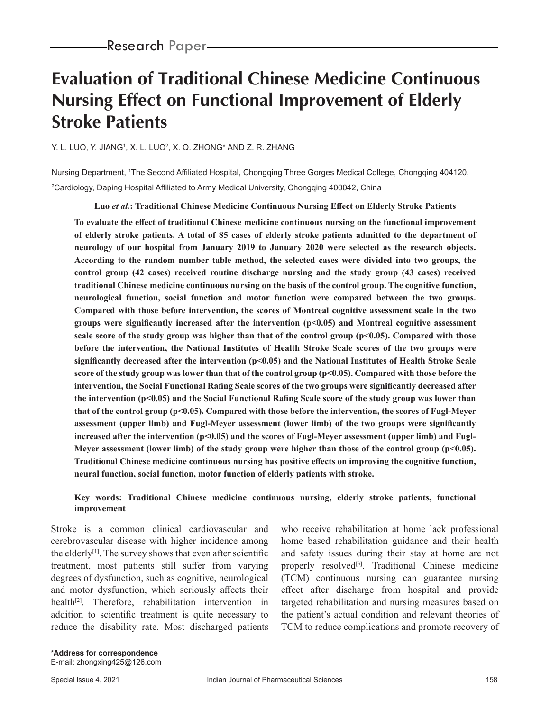# **Evaluation of Traditional Chinese Medicine Continuous Nursing Effect on Functional Improvement of Elderly Stroke Patients**

Y. L. LUO, Y. JIANGʻ, X. L. LUOʻ, X. Q. ZHONG\* AND Z. R. ZHANG

Nursing Department, 1 The Second Affiliated Hospital, Chongqing Three Gorges Medical College, Chongqing 404120, 2 Cardiology, Daping Hospital Affiliated to Army Medical University, Chongqing 400042, China

**Luo** *et al.***: Traditional Chinese Medicine Continuous Nursing Effect on Elderly Stroke Patients**

**To evaluate the effect of traditional Chinese medicine continuous nursing on the functional improvement of elderly stroke patients. A total of 85 cases of elderly stroke patients admitted to the department of neurology of our hospital from January 2019 to January 2020 were selected as the research objects. According to the random number table method, the selected cases were divided into two groups, the control group (42 cases) received routine discharge nursing and the study group (43 cases) received traditional Chinese medicine continuous nursing on the basis of the control group. The cognitive function, neurological function, social function and motor function were compared between the two groups. Compared with those before intervention, the scores of Montreal cognitive assessment scale in the two groups were significantly increased after the intervention (p<0.05) and Montreal cognitive assessment scale score of the study group was higher than that of the control group (p<0.05). Compared with those before the intervention, the National Institutes of Health Stroke Scale scores of the two groups were significantly decreased after the intervention (p<0.05) and the National Institutes of Health Stroke Scale**  score of the study group was lower than that of the control group (p<0.05). Compared with those before the **intervention, the Social Functional Rafing Scale scores of the two groups were significantly decreased after the intervention (p<0.05) and the Social Functional Rafing Scale score of the study group was lower than that of the control group (p<0.05). Compared with those before the intervention, the scores of Fugl-Meyer assessment (upper limb) and Fugl-Meyer assessment (lower limb) of the two groups were significantly**  increased after the intervention (p<0.05) and the scores of Fugl-Meyer assessment (upper limb) and Fugl-**Meyer assessment (lower limb) of the study group were higher than those of the control group (p<0.05). Traditional Chinese medicine continuous nursing has positive effects on improving the cognitive function, neural function, social function, motor function of elderly patients with stroke.**

#### **Key words: Traditional Chinese medicine continuous nursing, elderly stroke patients, functional improvement**

Stroke is a common clinical cardiovascular and cerebrovascular disease with higher incidence among the elderly<sup>[1]</sup>. The survey shows that even after scientific treatment, most patients still suffer from varying degrees of dysfunction, such as cognitive, neurological and motor dysfunction, which seriously affects their health $[2]$ . Therefore, rehabilitation intervention in addition to scientific treatment is quite necessary to reduce the disability rate. Most discharged patients

who receive rehabilitation at home lack professional home based rehabilitation guidance and their health and safety issues during their stay at home are not properly resolved<sup>[3]</sup>. Traditional Chinese medicine (TCM) continuous nursing can guarantee nursing effect after discharge from hospital and provide targeted rehabilitation and nursing measures based on the patient's actual condition and relevant theories of TCM to reduce complications and promote recovery of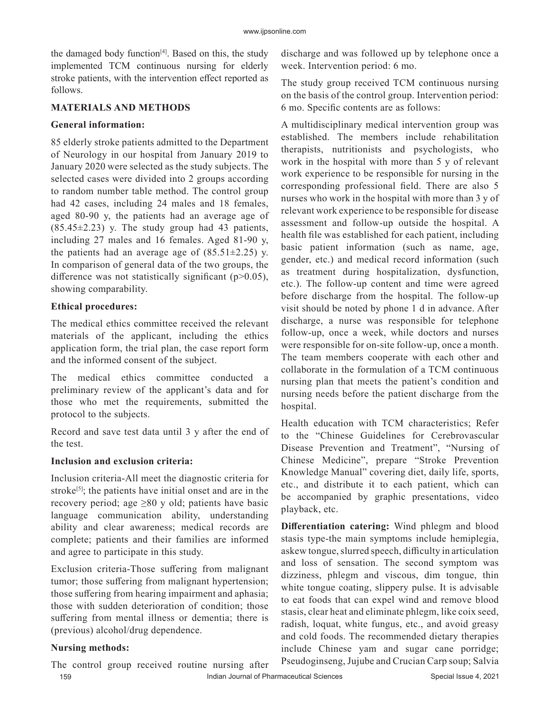the damaged body function $[4]$ . Based on this, the study implemented TCM continuous nursing for elderly stroke patients, with the intervention effect reported as follows.

#### **MATERIALS AND METHODS**

#### **General information:**

85 elderly stroke patients admitted to the Department of Neurology in our hospital from January 2019 to January 2020 were selected as the study subjects. The selected cases were divided into 2 groups according to random number table method. The control group had 42 cases, including 24 males and 18 females, aged 80-90 y, the patients had an average age of  $(85.45\pm2.23)$  y. The study group had 43 patients, including 27 males and 16 females. Aged 81-90 y, the patients had an average age of  $(85.51\pm2.25)$  y. In comparison of general data of the two groups, the difference was not statistically significant ( $p$  $>$ 0.05), showing comparability.

## **Ethical procedures:**

The medical ethics committee received the relevant materials of the applicant, including the ethics application form, the trial plan, the case report form and the informed consent of the subject.

The medical ethics committee conducted a preliminary review of the applicant's data and for those who met the requirements, submitted the protocol to the subjects.

Record and save test data until 3 y after the end of the test.

## **Inclusion and exclusion criteria:**

Inclusion criteria-All meet the diagnostic criteria for stroke<sup>[5]</sup>; the patients have initial onset and are in the recovery period; age  $\geq 80$  y old; patients have basic language communication ability, understanding ability and clear awareness; medical records are complete; patients and their families are informed and agree to participate in this study.

Exclusion criteria-Those suffering from malignant tumor; those suffering from malignant hypertension; those suffering from hearing impairment and aphasia; those with sudden deterioration of condition; those suffering from mental illness or dementia; there is (previous) alcohol/drug dependence.

## **Nursing methods:**

discharge and was followed up by telephone once a week. Intervention period: 6 mo.

The study group received TCM continuous nursing on the basis of the control group. Intervention period: 6 mo. Specific contents are as follows:

A multidisciplinary medical intervention group was established. The members include rehabilitation therapists, nutritionists and psychologists, who work in the hospital with more than 5 y of relevant work experience to be responsible for nursing in the corresponding professional field. There are also 5 nurses who work in the hospital with more than 3 y of relevant work experience to be responsible for disease assessment and follow-up outside the hospital. A health file was established for each patient, including basic patient information (such as name, age, gender, etc.) and medical record information (such as treatment during hospitalization, dysfunction, etc.). The follow-up content and time were agreed before discharge from the hospital. The follow-up visit should be noted by phone 1 d in advance. After discharge, a nurse was responsible for telephone follow-up, once a week, while doctors and nurses were responsible for on-site follow-up, once a month. The team members cooperate with each other and collaborate in the formulation of a TCM continuous nursing plan that meets the patient's condition and nursing needs before the patient discharge from the hospital.

Health education with TCM characteristics; Refer to the "Chinese Guidelines for Cerebrovascular Disease Prevention and Treatment", "Nursing of Chinese Medicine", prepare "Stroke Prevention Knowledge Manual" covering diet, daily life, sports, etc., and distribute it to each patient, which can be accompanied by graphic presentations, video playback, etc.

**Differentiation catering:** Wind phlegm and blood stasis type-the main symptoms include hemiplegia, askew tongue, slurred speech, difficulty in articulation and loss of sensation. The second symptom was dizziness, phlegm and viscous, dim tongue, thin white tongue coating, slippery pulse. It is advisable to eat foods that can expel wind and remove blood stasis, clear heat and eliminate phlegm, like coix seed, radish, loquat, white fungus, etc., and avoid greasy and cold foods. The recommended dietary therapies include Chinese yam and sugar cane porridge; Pseudoginseng, Jujube and Crucian Carp soup; Salvia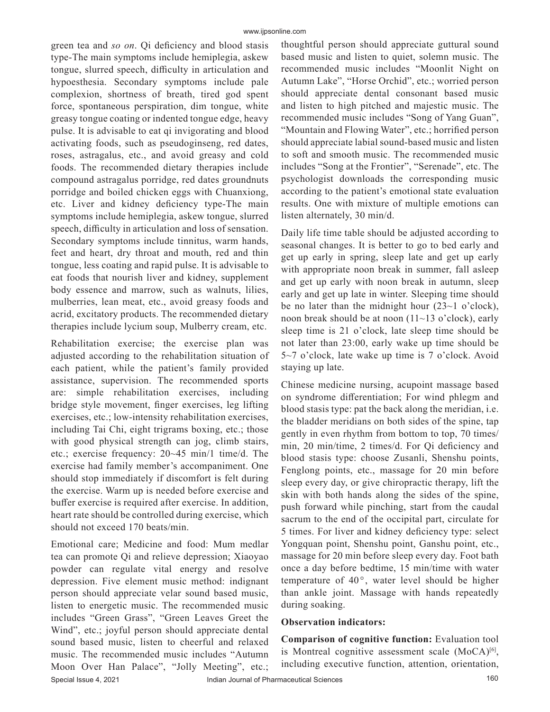green tea and *so on*. Qi deficiency and blood stasis type-The main symptoms include hemiplegia, askew tongue, slurred speech, difficulty in articulation and hypoesthesia. Secondary symptoms include pale complexion, shortness of breath, tired god spent force, spontaneous perspiration, dim tongue, white greasy tongue coating or indented tongue edge, heavy pulse. It is advisable to eat qi invigorating and blood activating foods, such as pseudoginseng, red dates, roses, astragalus, etc., and avoid greasy and cold foods. The recommended dietary therapies include compound astragalus porridge, red dates groundnuts porridge and boiled chicken eggs with Chuanxiong, etc. Liver and kidney deficiency type-The main symptoms include hemiplegia, askew tongue, slurred speech, difficulty in articulation and loss of sensation. Secondary symptoms include tinnitus, warm hands, feet and heart, dry throat and mouth, red and thin tongue, less coating and rapid pulse. It is advisable to eat foods that nourish liver and kidney, supplement body essence and marrow, such as walnuts, lilies, mulberries, lean meat, etc., avoid greasy foods and acrid, excitatory products. The recommended dietary therapies include lycium soup, Mulberry cream, etc.

Rehabilitation exercise; the exercise plan was adjusted according to the rehabilitation situation of each patient, while the patient's family provided assistance, supervision. The recommended sports are: simple rehabilitation exercises, including bridge style movement, finger exercises, leg lifting exercises, etc.; low-intensity rehabilitation exercises, including Tai Chi, eight trigrams boxing, etc.; those with good physical strength can jog, climb stairs, etc.; exercise frequency: 20~45 min/1 time/d. The exercise had family member's accompaniment. One should stop immediately if discomfort is felt during the exercise. Warm up is needed before exercise and buffer exercise is required after exercise. In addition, heart rate should be controlled during exercise, which should not exceed 170 beats/min.

Special Issue 4, 2021 **Indian Journal of Pharmaceutical Sciences** 160 Emotional care; Medicine and food: Mum medlar tea can promote Qi and relieve depression; Xiaoyao powder can regulate vital energy and resolve depression. Five element music method: indignant person should appreciate velar sound based music, listen to energetic music. The recommended music includes "Green Grass", "Green Leaves Greet the Wind", etc.; joyful person should appreciate dental sound based music, listen to cheerful and relaxed music. The recommended music includes "Autumn Moon Over Han Palace", "Jolly Meeting", etc.;

thoughtful person should appreciate guttural sound based music and listen to quiet, solemn music. The recommended music includes "Moonlit Night on Autumn Lake", "Horse Orchid", etc.; worried person should appreciate dental consonant based music and listen to high pitched and majestic music. The recommended music includes "Song of Yang Guan", "Mountain and Flowing Water", etc.; horrified person should appreciate labial sound-based music and listen to soft and smooth music. The recommended music includes "Song at the Frontier", "Serenade", etc. The psychologist downloads the corresponding music according to the patient's emotional state evaluation results. One with mixture of multiple emotions can listen alternately, 30 min/d.

Daily life time table should be adjusted according to seasonal changes. It is better to go to bed early and get up early in spring, sleep late and get up early with appropriate noon break in summer, fall asleep and get up early with noon break in autumn, sleep early and get up late in winter. Sleeping time should be no later than the midnight hour  $(23~1~\text{o}$  clock), noon break should be at noon (11~13 o'clock), early sleep time is 21 o'clock, late sleep time should be not later than 23:00, early wake up time should be 5~7 o'clock, late wake up time is 7 o'clock. Avoid staying up late.

Chinese medicine nursing, acupoint massage based on syndrome differentiation; For wind phlegm and blood stasis type: pat the back along the meridian, i.e. the bladder meridians on both sides of the spine, tap gently in even rhythm from bottom to top, 70 times/ min, 20 min/time, 2 times/d. For Qi deficiency and blood stasis type: choose Zusanli, Shenshu points, Fenglong points, etc., massage for 20 min before sleep every day, or give chiropractic therapy, lift the skin with both hands along the sides of the spine, push forward while pinching, start from the caudal sacrum to the end of the occipital part, circulate for 5 times. For liver and kidney deficiency type: select Yongquan point, Shenshu point, Ganshu point, etc., massage for 20 min before sleep every day. Foot bath once a day before bedtime, 15 min/time with water temperature of  $40^{\circ}$ , water level should be higher than ankle joint. Massage with hands repeatedly during soaking.

#### **Observation indicators:**

**Comparison of cognitive function:** Evaluation tool is Montreal cognitive assessment scale  $(MoCA)^{[6]}$ , including executive function, attention, orientation,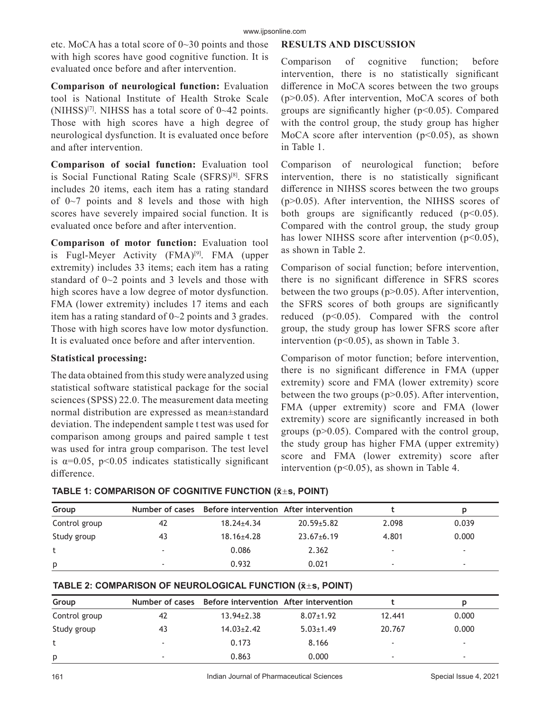etc. MoCA has a total score of 0~30 points and those with high scores have good cognitive function. It is evaluated once before and after intervention.

**Comparison of neurological function:** Evaluation tool is National Institute of Health Stroke Scale (NIHSS)<sup>[7]</sup>. NIHSS has a total score of  $0\nightharpoonup 42$  points. Those with high scores have a high degree of neurological dysfunction. It is evaluated once before and after intervention.

**Comparison of social function:** Evaluation tool is Social Functional Rating Scale (SFRS)<sup>[8]</sup>. SFRS includes 20 items, each item has a rating standard of  $0\nu$ <sup>7</sup> points and 8 levels and those with high scores have severely impaired social function. It is evaluated once before and after intervention.

**Comparison of motor function:** Evaluation tool is Fugl-Meyer Activity (FMA)<sup>[9]</sup>. FMA (upper extremity) includes 33 items; each item has a rating standard of 0~2 points and 3 levels and those with high scores have a low degree of motor dysfunction. FMA (lower extremity) includes 17 items and each item has a rating standard of 0~2 points and 3 grades. Those with high scores have low motor dysfunction. It is evaluated once before and after intervention.

### **Statistical processing:**

The data obtained from this study were analyzed using statistical software statistical package for the social sciences (SPSS) 22.0. The measurement data meeting normal distribution are expressed as mean±standard deviation. The independent sample t test was used for comparison among groups and paired sample t test was used for intra group comparison. The test level is  $\alpha$ =0.05, p<0.05 indicates statistically significant difference.

## **RESULTS AND DISCUSSION**

Comparison of cognitive function; before intervention, there is no statistically significant difference in MoCA scores between the two groups (p>0.05). After intervention, MoCA scores of both groups are significantly higher  $(p<0.05)$ . Compared with the control group, the study group has higher MoCA score after intervention  $(p<0.05)$ , as shown in Table 1.

Comparison of neurological function; before intervention, there is no statistically significant difference in NIHSS scores between the two groups (p>0.05). After intervention, the NIHSS scores of both groups are significantly reduced  $(p<0.05)$ . Compared with the control group, the study group has lower NIHSS score after intervention  $(p<0.05)$ , as shown in Table 2.

Comparison of social function; before intervention, there is no significant difference in SFRS scores between the two groups  $(p>0.05)$ . After intervention, the SFRS scores of both groups are significantly reduced (p<0.05). Compared with the control group, the study group has lower SFRS score after intervention (p<0.05), as shown in Table 3.

Comparison of motor function; before intervention, there is no significant difference in FMA (upper extremity) score and FMA (lower extremity) score between the two groups  $(p>0.05)$ . After intervention, FMA (upper extremity) score and FMA (lower extremity) score are significantly increased in both groups (p>0.05). Compared with the control group, the study group has higher FMA (upper extremity) score and FMA (lower extremity) score after intervention ( $p<0.05$ ), as shown in Table 4.

| TABLE 1: COMPARISON OF COGNITIVE FUNCTION $(\bar{x} \pm s,$ POINT) |
|--------------------------------------------------------------------|
|--------------------------------------------------------------------|

| Group         | Number of cases          | Before intervention After intervention |                  |       |       |  |
|---------------|--------------------------|----------------------------------------|------------------|-------|-------|--|
| Control group | 42                       | $18.24 \pm 4.34$                       | $20.59 + 5.82$   | 2.098 | 0.039 |  |
| Study group   | 43                       | $18.16 \pm 4.28$                       | $23.67 \pm 6.19$ | 4.801 | 0.000 |  |
|               | $\overline{\phantom{a}}$ | 0.086                                  | 2.362            |       | -     |  |
| p             | $\overline{\phantom{a}}$ | 0.932                                  | 0.021            | -     | -     |  |

| TABLE 2: COMPARISON OF NEUROLOGICAL FUNCTION ( $\bar{x} \pm s$ , POINT) |  |  |  |
|-------------------------------------------------------------------------|--|--|--|
|-------------------------------------------------------------------------|--|--|--|

| Group         |                          | Number of cases Before intervention After intervention |                 |        |       |
|---------------|--------------------------|--------------------------------------------------------|-----------------|--------|-------|
| Control group | 42                       | $13.94 \pm 2.38$                                       | $8.07 \pm 1.92$ | 12.441 | 0.000 |
| Study group   | 43                       | $14.03 \pm 2.42$                                       | $5.03 \pm 1.49$ | 20.767 | 0.000 |
| t             | $\overline{\phantom{a}}$ | 0.173                                                  | 8.166           |        | -     |
| p             | $\overline{\phantom{0}}$ | 0.863                                                  | 0.000           | -      | -     |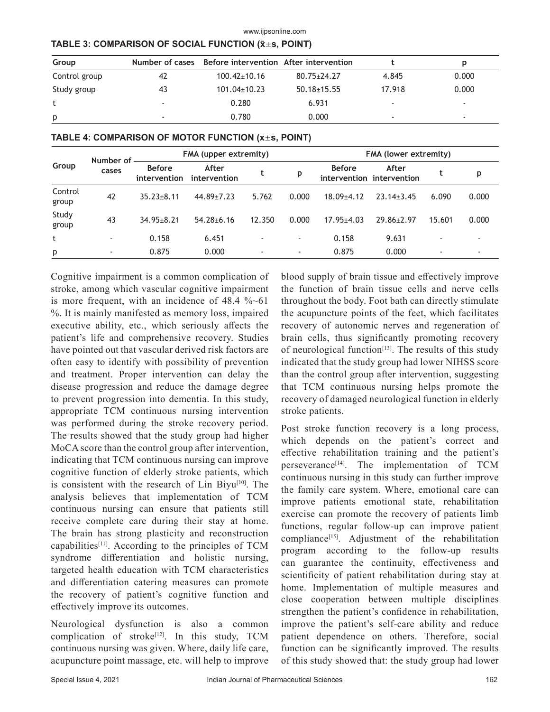| Group         |                          | Number of cases Before intervention After intervention |                   |        |       |
|---------------|--------------------------|--------------------------------------------------------|-------------------|--------|-------|
| Control group | 42                       | $100.42 \pm 10.16$                                     | $80.75 \pm 24.27$ | 4.845  | 0.000 |
| Study group   | 43                       | $101.04 \pm 10.23$                                     | $50.18 \pm 15.55$ | 17.918 | 0.000 |
|               | $\overline{\phantom{a}}$ | 0.280                                                  | 6.931             |        |       |
| p             | $\overline{\phantom{a}}$ | 0.780                                                  | 0.000             | -      |       |

www.ijpsonline.com

## **TABLE 3: COMPARISON OF SOCIAL FUNCTION (x̄s, POINT)**

| TABLE 4: COMPARISON OF MOTOR FUNCTION $(x \pm s,$ POINT) |  |  |
|----------------------------------------------------------|--|--|
|----------------------------------------------------------|--|--|

| Group            | Number of<br>cases       |                               | FMA (upper extremity) |                |                          |                | <b>FMA (lower extremity)</b>       |        |                          |  |
|------------------|--------------------------|-------------------------------|-----------------------|----------------|--------------------------|----------------|------------------------------------|--------|--------------------------|--|
|                  |                          | <b>Before</b><br>intervention | After<br>intervention | t              | p                        | <b>Before</b>  | After<br>intervention intervention | t      | р                        |  |
| Control<br>group | 42                       | $35.23 + 8.11$                | 44.89+7.23            | 5.762          | 0.000                    | $18.09 + 4.12$ | $23.14 + 3.45$                     | 6.090  | 0.000                    |  |
| Study<br>group   | 43                       | $34.95 \pm 8.21$              | $54.28 \pm 6.16$      | 12.350         | 0.000                    | $17.95 + 4.03$ | $29.86 + 2.97$                     | 15.601 | 0.000                    |  |
| t                | $\overline{\phantom{a}}$ | 0.158                         | 6.451                 | $\overline{a}$ | $\overline{\phantom{a}}$ | 0.158          | 9.631                              |        | -                        |  |
| p                | ٠                        | 0.875                         | 0.000                 | $\overline{a}$ | $\overline{\phantom{a}}$ | 0.875          | 0.000                              | -      | $\overline{\phantom{a}}$ |  |

Cognitive impairment is a common complication of stroke, among which vascular cognitive impairment is more frequent, with an incidence of 48.4 %~61 %. It is mainly manifested as memory loss, impaired executive ability, etc., which seriously affects the patient's life and comprehensive recovery. Studies have pointed out that vascular derived risk factors are often easy to identify with possibility of prevention and treatment. Proper intervention can delay the disease progression and reduce the damage degree to prevent progression into dementia. In this study, appropriate TCM continuous nursing intervention was performed during the stroke recovery period. The results showed that the study group had higher MoCA score than the control group after intervention, indicating that TCM continuous nursing can improve cognitive function of elderly stroke patients, which is consistent with the research of Lin Biyu<sup>[10]</sup>. The analysis believes that implementation of TCM continuous nursing can ensure that patients still receive complete care during their stay at home. The brain has strong plasticity and reconstruction capabilities[11]. According to the principles of TCM syndrome differentiation and holistic nursing, targeted health education with TCM characteristics and differentiation catering measures can promote the recovery of patient's cognitive function and effectively improve its outcomes.

Neurological dysfunction is also a common complication of stroke<sup>[12]</sup>. In this study, TCM continuous nursing was given. Where, daily life care, acupuncture point massage, etc. will help to improve

blood supply of brain tissue and effectively improve the function of brain tissue cells and nerve cells throughout the body. Foot bath can directly stimulate the acupuncture points of the feet, which facilitates recovery of autonomic nerves and regeneration of brain cells, thus significantly promoting recovery of neurological function<sup>[13]</sup>. The results of this study indicated that the study group had lower NIHSS score than the control group after intervention, suggesting that TCM continuous nursing helps promote the recovery of damaged neurological function in elderly stroke patients.

Post stroke function recovery is a long process, which depends on the patient's correct and effective rehabilitation training and the patient's perseverance<sup>[14]</sup>. The implementation of TCM continuous nursing in this study can further improve the family care system. Where, emotional care can improve patients emotional state, rehabilitation exercise can promote the recovery of patients limb functions, regular follow-up can improve patient compliance<sup>[15]</sup>. Adjustment of the rehabilitation program according to the follow-up results can guarantee the continuity, effectiveness and scientificity of patient rehabilitation during stay at home. Implementation of multiple measures and close cooperation between multiple disciplines strengthen the patient's confidence in rehabilitation, improve the patient's self-care ability and reduce patient dependence on others. Therefore, social function can be significantly improved. The results of this study showed that: the study group had lower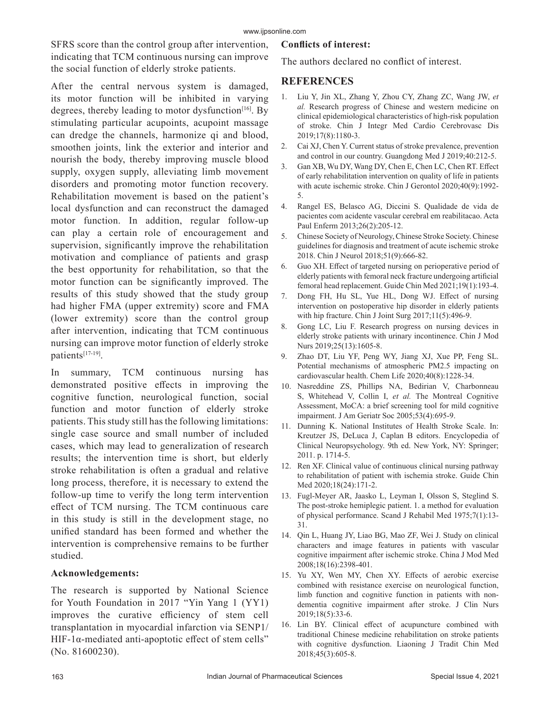SFRS score than the control group after intervention, indicating that TCM continuous nursing can improve the social function of elderly stroke patients.

After the central nervous system is damaged, its motor function will be inhibited in varying degrees, thereby leading to motor dysfunction<sup>[16]</sup>. By stimulating particular acupoints, acupoint massage can dredge the channels, harmonize qi and blood, smoothen joints, link the exterior and interior and nourish the body, thereby improving muscle blood supply, oxygen supply, alleviating limb movement disorders and promoting motor function recovery. Rehabilitation movement is based on the patient's local dysfunction and can reconstruct the damaged motor function. In addition, regular follow-up can play a certain role of encouragement and supervision, significantly improve the rehabilitation motivation and compliance of patients and grasp the best opportunity for rehabilitation, so that the motor function can be significantly improved. The results of this study showed that the study group had higher FMA (upper extremity) score and FMA (lower extremity) score than the control group after intervention, indicating that TCM continuous nursing can improve motor function of elderly stroke patients[17-19].

In summary, TCM continuous nursing has demonstrated positive effects in improving the cognitive function, neurological function, social function and motor function of elderly stroke patients. This study still has the following limitations: single case source and small number of included cases, which may lead to generalization of research results; the intervention time is short, but elderly stroke rehabilitation is often a gradual and relative long process, therefore, it is necessary to extend the follow-up time to verify the long term intervention effect of TCM nursing. The TCM continuous care in this study is still in the development stage, no unified standard has been formed and whether the intervention is comprehensive remains to be further studied.

## **Acknowledgements:**

The research is supported by National Science for Youth Foundation in 2017 "Yin Yang 1 (YY1) improves the curative efficiency of stem cell transplantation in myocardial infarction via SENP1/ HIF-1 $α$ -mediated anti-apoptotic effect of stem cells" (No. 81600230).

## **Conflicts of interest:**

The authors declared no conflict of interest.

## **REFERENCES**

- 1. Liu Y, Jin XL, Zhang Y, Zhou CY, Zhang ZC, Wang JW, *et al.* Research progress of Chinese and western medicine on clinical epidemiological characteristics of high-risk population of stroke. Chin J Integr Med Cardio Cerebrovasc Dis 2019;17(8):1180-3.
- 2. Cai XJ, Chen Y. Current status of stroke prevalence, prevention and control in our country. Guangdong Med J 2019;40:212-5.
- 3. Gan XB, Wu DY, Wang DY, Chen E, Chen LC, Chen RT. Effect of early rehabilitation intervention on quality of life in patients with acute ischemic stroke. Chin J Gerontol 2020;40(9):1992- 5.
- 4. Rangel ES, Belasco AG, Diccini S. Qualidade de vida de pacientes com acidente vascular cerebral em reabilitacao. Acta Paul Enferm 2013;26(2):205-12.
- 5. Chinese Society of Neurology, Chinese Stroke Society. Chinese guidelines for diagnosis and treatment of acute ischemic stroke 2018. Chin J Neurol 2018;51(9):666-82.
- 6. Guo XH. Effect of targeted nursing on perioperative period of elderly patients with femoral neck fracture undergoing artificial femoral head replacement. Guide Chin Med 2021;19(1):193-4.
- 7. Dong FH, Hu SL, Yue HL, Dong WJ. Effect of nursing intervention on postoperative hip disorder in elderly patients with hip fracture. Chin J Joint Surg 2017;11(5):496-9.
- 8. Gong LC, Liu F. Research progress on nursing devices in elderly stroke patients with urinary incontinence. Chin J Mod Nurs 2019;25(13):1605-8.
- 9. Zhao DT, Liu YF, Peng WY, Jiang XJ, Xue PP, Feng SL. Potential mechanisms of atmospheric PM2.5 impacting on cardiovascular health. Chem Life 2020;40(8):1228-34.
- 10. Nasreddine ZS, Phillips NA, Bedirian V, Charbonneau S, Whitehead V, Collin I, *et al.* The Montreal Cognitive Assessment, MoCA: a brief screening tool for mild cognitive impairment. J Am Geriatr Soc 2005;53(4):695-9.
- 11. Dunning K. National Institutes of Health Stroke Scale. In: Kreutzer JS, DeLuca J, Caplan B editors. Encyclopedia of Clinical Neuropsychology. 9th ed. New York, NY: Springer; 2011. p. 1714-5.
- 12. Ren XF. Clinical value of continuous clinical nursing pathway to rehabilitation of patient with ischemia stroke. Guide Chin Med 2020;18(24):171-2.
- 13. Fugl-Meyer AR, Jaasko L, Leyman I, Olsson S, Steglind S. The post-stroke hemiplegic patient. 1. a method for evaluation of physical performance. Scand J Rehabil Med 1975;7(1):13- 31.
- 14. Qin L, Huang JY, Liao BG, Mao ZF, Wei J. Study on clinical characters and image features in patients with vascular cognitive impairment after ischemic stroke. China J Mod Med 2008;18(16):2398-401.
- 15. Yu XY, Wen MY, Chen XY. Effects of aerobic exercise combined with resistance exercise on neurological function, limb function and cognitive function in patients with nondementia cognitive impairment after stroke. J Clin Nurs 2019;18(5):33-6.
- 16. Lin BY. Clinical effect of acupuncture combined with traditional Chinese medicine rehabilitation on stroke patients with cognitive dysfunction. Liaoning J Tradit Chin Med 2018;45(3):605-8.